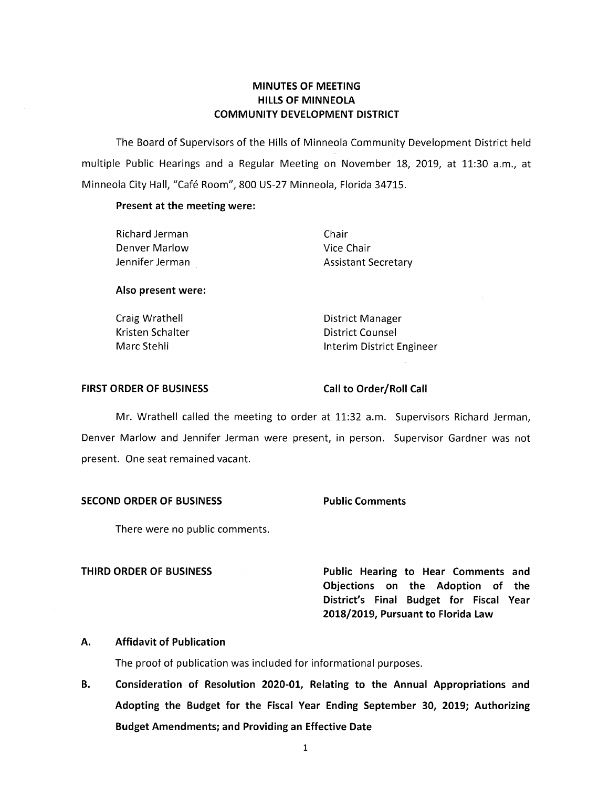# **MINUTES OF MEETING HILLS OF MINNEOLA COMMUNITY DEVELOPMENT DISTRICT**

The Board of Supervisors of the Hills of Minneola Community Development District held multiple Public Hearings and a Regular Meeting on November 18, 2019, at 11:30 a.m., at Minneola City Hall, "Café Room", 800 US-27 Minneola, Florida 34715.

### **Present at the meeting were:**

| Richard Jerman  | Chair  |
|-----------------|--------|
| Denver Marlow   | Vice C |
| Jennifer Jerman | Assist |

Vice Chair Assistant Secretary

## **Also present were:**

Kristen Schalter **District Counsel** 

Craig Wrathell **District Manager** Marc Stehli **Interim District Engineer** 

### FIRST ORDER OF BUSINESS Call to Order/Roll Call

Mr. Wrathell called the meeting to order at 11:32 a.m. Supervisors Richard Jerman, Denver Marlow and Jennifer Jerman were present, in person. Supervisor Gardner was not present. One seat remained vacant.

### **SECOND ORDER OF BUSINESS Public Comments**

There were no public comments.

**THIRD ORDER OF BUSINESS Public Hearing to Hear Comments and Objections on the Adoption of the District's Final Budget for Fiscal Year 2018/2019, Pursuant to Florida Law** 

## **A. Affidavit of Publication**

The proof of publication was included for informational purposes.

**B. Consideration of Resolution 2020-01, Relating to the Annual Appropriations and Adopting the Budget for the Fiscal Year Ending September 30, 2019; Authorizing Budget Amendments; and Providing an Effective Date**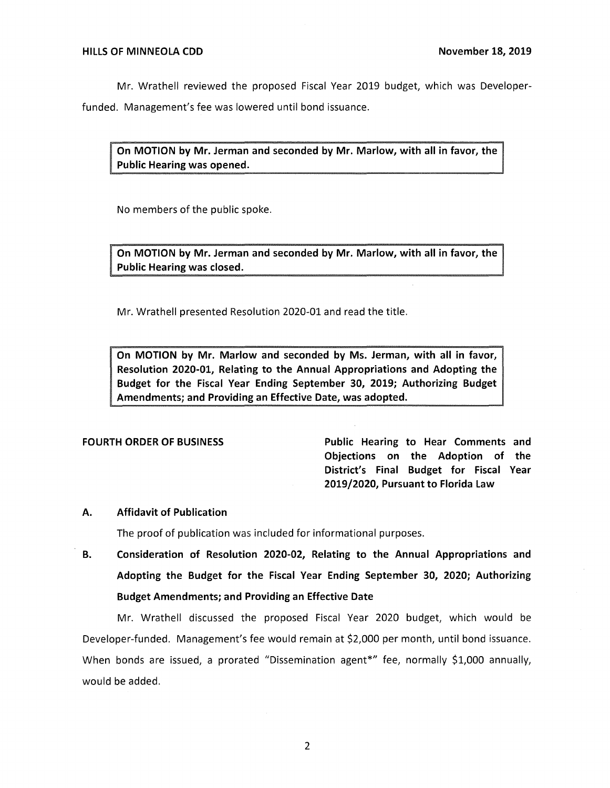Mr. Wrathell reviewed the proposed Fiscal Year 2019 budget, which was Developerfunded. Management's fee was lowered until bond issuance.

**On MOTION by Mr. Jerman and seconded by Mr. Marlow, with all in favor, the Public Hearing was opened.** 

No members of the public spoke.

**On MOTION by Mr. Jerman and seconded by Mr. Marlow, with all in favor, the Public Hearing was closed.** 

Mr. Wrathell presented Resolution 2020-01 and read the title.

**On MOTION by Mr. Marlow and seconded by Ms. Jerman, with all in favor, Resolution 2020-01, Relating to the Annual Appropriations and Adopting the Budget for the Fiscal Year Ending September 30, 2019; Authorizing Budget Amendments; and Providing an Effective Date, was adopted.** 

**FOURTH ORDER OF BUSINESS Public Hearing to Hear Comments and Objections on the Adoption of the District's Final Budget for Fiscal Year 2019/2020, Pursuant to Florida Law** 

## **A. Affidavit of Publication**

The proof of publication was included for informational purposes.

**B. Consideration of Resolution 2020-02, Relating to the Annual Appropriations and Adopting the Budget for the Fiscal Year Ending September 30, 2020; Authorizing Budget Amendments; and Providing an Effective Date** 

Mr. Wrathell discussed the proposed Fiscal Year 2020 budget, which would be Developer-funded. Management's fee would remain at \$2,000 per month, until bond issuance. When bonds are issued, a prorated "Dissemination agent\*" fee, normally \$1,000 annually, would be added.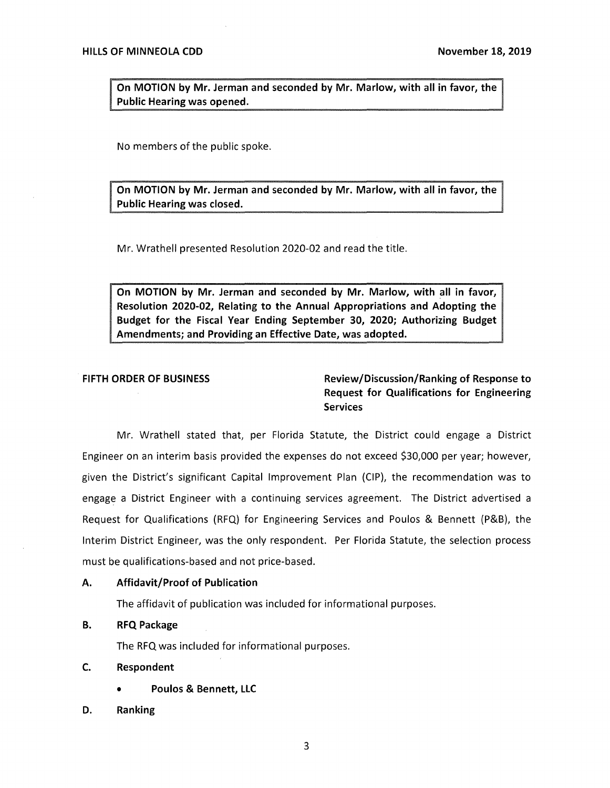**On MOTION by Mr. Jerman and seconded by Mr. Marlow, with all in favor, the Public Hearing was opened.** 

No members of the public spoke.

**On MOTION by Mr. Jerman and seconded by Mr. Marlow, with all in favor, the Public Hearing was closed.** 

Mr. Wrathell presented Resolution 2020-02 and read the title.

**On MOTION by Mr. Jerman and seconded by Mr. Marlow, with all in favor, Resolution 2020-02, Relating to the Annual Appropriations and Adopting the Budget for the Fiscal Year Ending September 30, 2020; Authorizing Budget Amendments; and Providing an Effective Date, was adopted.** 

**FIFTH ORDER OF BUSINESS Review/Discussion/Ranking of Response to Request for Qualifications for Engineering Services** 

Mr. Wrathell stated that, per Florida Statute, the District could engage a District Engineer on an interim basis provided the expenses do not exceed \$30,000 per year; however, given the District's significant Capital Improvement Plan (CIP), the recommendation was to engage a District Engineer with a continuing services agreement. The District advertised a Request for Qualifications (RFQ) for Engineering Services and Poulos & Bennett (P&B), the Interim District Engineer, was the only respondent. Per Florida Statute, the selection process must be qualifications-based and not price-based.

### **A. Affidavit/Proof of Publication**

The affidavit of publication was included for informational purposes.

# **B. RFQ Package**

The RFQ was included for informational purposes.

### **C. Respondent**

- **Poulos** & **Bennett, LLC**
- **D. Ranking**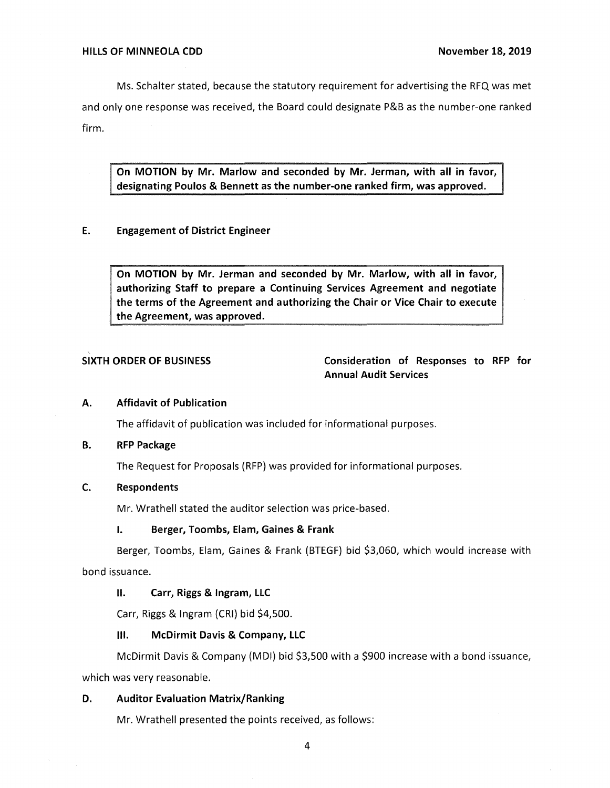Ms. Schalter stated, because the statutory requirement for advertising the RFQ was met and only one response was received, the Board could designate P&B as the number-one ranked firm.

**On MOTION by Mr. Marlow and seconded by Mr. Jerman, with all in favor, designating Poulos** & **Bennett as the number-one ranked firm, was approved.** 

### **E. Engagement of District Engineer**

**On MOTION by Mr. Jerman and seconded by Mr. Marlow, with all in favor, authorizing Staff to prepare a Continuing Services Agreement and negotiate the terms of the Agreement and authorizing the Chair or Vice Chair to execute the Agreement, was approved.** 

**SIXTH ORDER OF BUSINESS Consideration of Responses to RFP for Annual Audit Services** 

### **A. Affidavit of Publication**

The affidavit of publication was included for informational purposes.

**B. RFP Package** 

The Request for Proposals (RFP) was provided for informational purposes.

### **C. Respondents**

Mr. Wrathell stated the auditor selection was price-based.

### I. **Berger, Toombs, Elam, Gaines** & **Frank**

Berger, Toombs, Elam, Gaines & Frank (BTEGF) bid \$3,060, which would increase with

bond issuance.

### II. **Carr, Riggs** & **Ingram, LLC**

Carr, Riggs & Ingram (CRI) bid \$4,500.

### Ill. **McDirmit Davis** & **Company, LLC**

McDirmit Davis & Company (MDI) bid \$3,500 with a \$900 increase with a bond issuance,

which was very reasonable.

### **D. Auditor Evaluation Matrix/Ranking**

Mr. Wrathell presented the points received, as follows: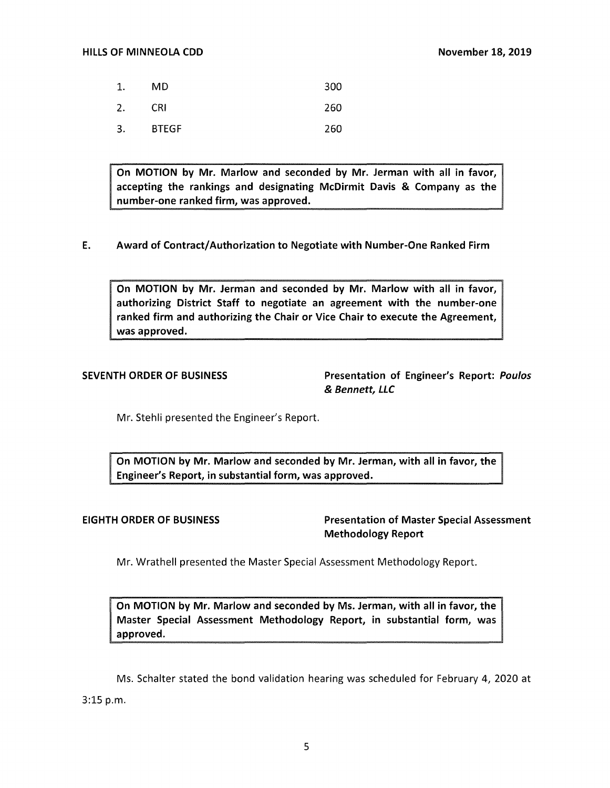## HILLS OF MINNEOLA CDD **November 18, 2019** November 18, 2019

| 1. | MD           | 300 |
|----|--------------|-----|
| 2. | <b>CRI</b>   | 260 |
| 3. | <b>BTEGF</b> | 260 |

On MOTION by Mr. Marlow and seconded by Mr. Jerman with all in favor, accepting the rankings and designating McDirmit Davis & Company as the number-one ranked firm, was approved.

# E. Award of Contract/Authorization to Negotiate with Number-One Ranked Firm

On MOTION by Mr. Jerman and seconded by Mr. Marlow with all in favor, authorizing District Staff to negotiate an agreement with the number-one ranked firm and authorizing the Chair or Vice Chair to execute the Agreement, was approved.

SEVENTH ORDER OF BUSINESS **Presentation of Engineer's Report: Poulos** & Bennett, LLC

Mr. Stehli presented the Engineer's Report.

On MOTION by Mr. Marlow and seconded by Mr. Jerman, with all in favor, the Engineer's Report, in substantial form, was approved.

EIGHTH ORDER OF BUSINESS Presentation of Master Special Assessment Methodology Report

Mr. Wrathell presented the Master Special Assessment Methodology Report.

On MOTION by Mr. Marlow and seconded by Ms. Jerman, with all in favor, the Master Special Assessment Methodology Report, in substantial form, was approved.

Ms. Schalter stated the bond validation hearing was scheduled for February 4, 2020 at 3:15 p.m.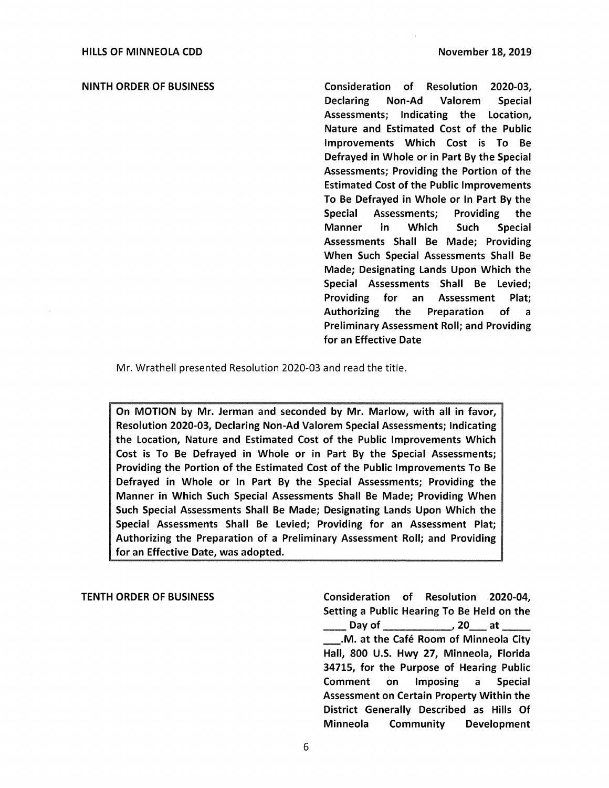NINTH ORDER OF BUSINESS Consideration of Resolution 2020-03, Declaring Non-Ad Valorem Special Assessments; Indicating the Location, Nature and Estimated Cost of the Public Improvements Which Cost is To Be Defrayed in Whole or in Part By the Special Assessments; Providing the Portion of the Estimated Cost of the Public Improvements To Be Defrayed in Whole or In Part By the Special Assessments; Providing the Manner in Which Such Special Assessments Shall Be Made; Providing When Such Special Assessments Shall Be Made; Designating Lands Upon Which the Special Assessments Shall Be Levied; Providing for an Assessment Plat; Authorizing the Preparation of a Preliminary Assessment Roll; and Providing for an Effective Date

Mr. Wrathell presented Resolution 2020-03 and read the title.

On MOTION by Mr. Jerman and seconded by Mr. Marlow, with all in favor, Resolution 2020-03, Declaring Non-Ad Valorem Special Assessments; Indicating the Location, Nature and Estimated Cost of the Public Improvements Which Cost is To Be Defrayed in Whole or in Part By the Special Assessments; Providing the Portion of the Estimated Cost of the Public Improvements To Be Defrayed in Whole or In Part By the Special Assessments; Providing the Manner in Which Such Special Assessments Shall Be Made; Providing When Such Special Assessments Shall Be Made; Designating Lands Upon Which the Special Assessments Shall Be Levied; Providing for an Assessment Plat; Authorizing the Preparation of a Preliminary Assessment Roll; and Providing for an Effective Date, was adopted.

TENTH ORDER OF **BUSINESS** Consideration of Resolution 2020-04, Setting a Public Hearing To Be Held on the \_\_ Day of \_\_\_\_\_, 20\_ at \_.M. at the Cafe Room of Minneola City Hall, 800 U.S. Hwy 27, Minneola, Florida 34715, for the Purpose of Hearing Public Comment on Imposing a Special Assessment on Certain Property Within the District Generally Described as Hills Of Minneola Community Development

6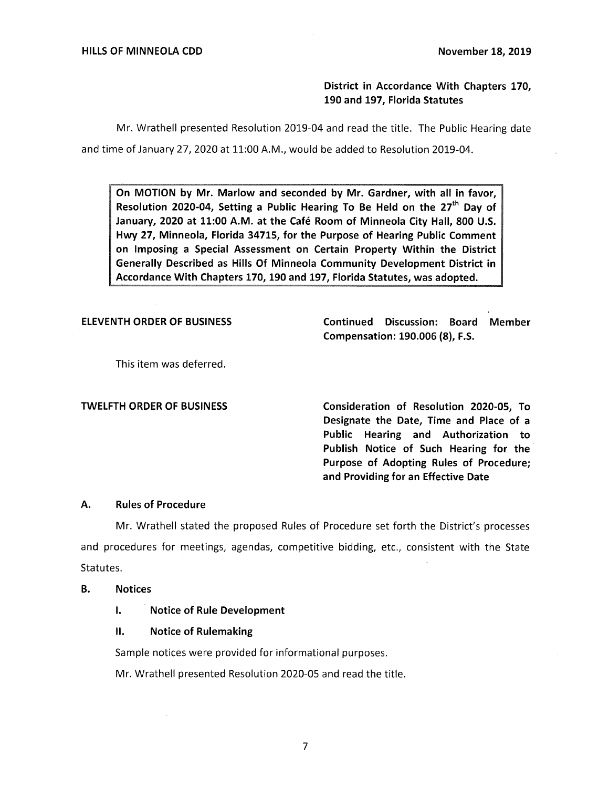**HILLS OF MINNEOLA CDD** November 18, 2019

# **District in Accordance With Chapters 170, 190 and 197, Florida Statutes**

Mr. Wrathell presented Resolution 2019-04 and read the title. The Public Hearing date and time of January 27, 2020 at 11:00 A.M., would be added to Resolution 2019-04.

**On MOTION by Mr. Marlow and seconded by Mr. Gardner, with all in favor, Resolution 2020-04, Setting a Public Hearing To Be Held on the 2ih Day of January, 2020 at 11:00 A.M. at the Cafe Room of Minneola City Hall, 800 U.S. Hwy 27, Minneola, Florida 34715, for the Purpose of Hearing Public Comment on Imposing a Special Assessment on Certain Property Within the District Generally Described as Hills Of Minneola Community Development District in Accordance With Chapters 170, 190 and 197, Florida Statutes, was adopted.** 

**ELEVENTH ORDER OF BUSINESS Continued Discussion: Board Member Compensation: 190.006 (8), F.S.** 

This item was deferred.

**TWELFTH ORDER OF BUSINESS Consideration of Resolution 2020-05, To Designate the Date, Time and Place of a Public Hearing and Authorization to**  Publish Notice of Such Hearing for the **Purpose of Adopting Rules of Procedure; and Providing for an Effective Date** 

## **A. Rules of Procedure**

Mr. Wrathell stated the proposed Rules of Procedure set forth the District's processes and procedures for meetings, agendas, competitive bidding, etc., consistent with the State Statutes.

## **B. Notices**

**I.** Notice of Rule Development

## II. **Notice of Rulemaking**

Sample notices were provided for informational purposes.

Mr. Wrathell presented Resolution 2020-05 and read the title.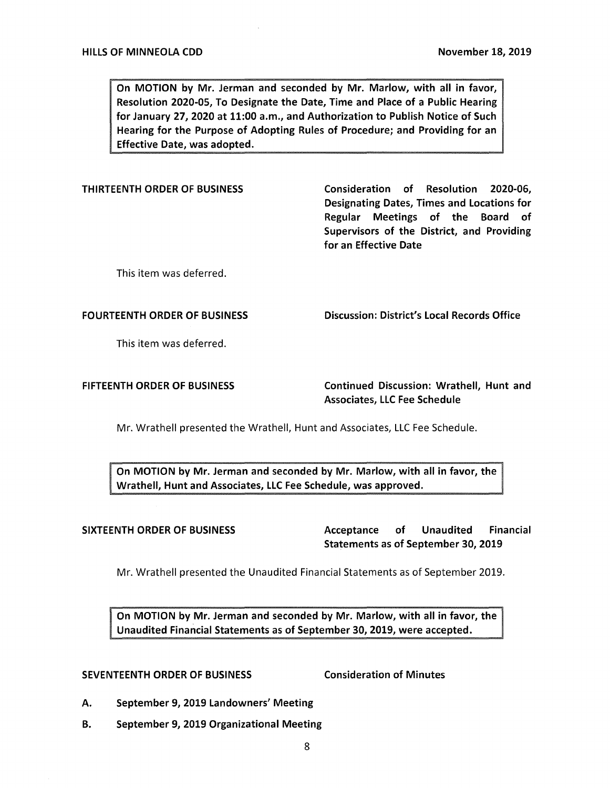On MOTION by Mr. Jerman and seconded by Mr. Marlow, with all in favor, Resolution 2020-05, To Designate the Date, Time and Place of a Public Hearing for January 27, 2020 at 11:00 a.m., and Authorization to Publish Notice of Such Hearing for the Purpose of Adopting Rules of Procedure; and Providing for an Effective Date, was adopted.

## THIRTEENTH ORDER OF **BUSINESS**

Consideration of Resolution 2020-06, Designating Dates, Times and Locations for Regular Meetings of the Board of Supervisors of the District, and Providing for an Effective Date

This item was deferred.

## FOURTEENTH ORDER OF **BUSINESS**

Discussion: District's Local Records Office

This item was deferred.

## FIFTEENTH ORDER OF **BUSINESS**

Continued Discussion: Wrathell, Hunt and Associates, LLC Fee Schedule

Mr. Wrathell presented the Wrathell, Hunt and Associates, LLC Fee Schedule.

On MOTION by Mr. Jerman and seconded by Mr. Marlow, with all in Wrathell, Hunt and Associates, LLC Fee Schedule, was approved.

SIXTEENTH ORDER OF **BUSINESS** Acceptance of Unaudited Financial Statements as of September 30, 2019

Mr. Wrathell presented the Unaudited Financial Statements as of September 2019.

On MOTION by Mr. Jerman and seconded by Mr. Marlow, with all in favor, the Unaudited Financial Statements as of September 30, 2019, were accepted.

## SEVENTEENTH ORDER OF BUSINESS Consideration of Minutes

- A. September 9, 2019 Landowners' Meeting
- B. September 9, 2019 Organizational Meeting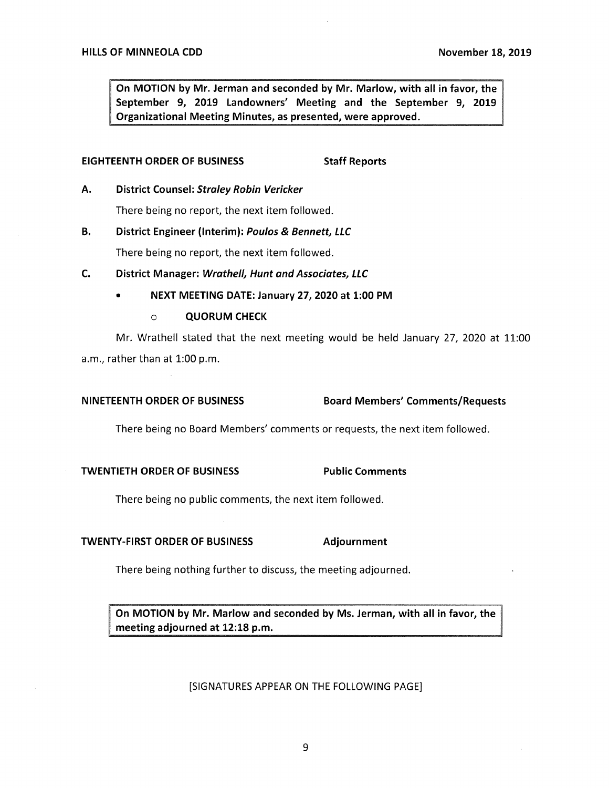**On MOTION by Mr. Jerman and seconded by Mr. Marlow, with all in favor, the September 9, 2019 Landowners' Meeting and the September 9, 2019 Organizational Meeting Minutes, as presented, were approved.** 

## **EIGHTEENTH ORDER OF BUSINESS STATES STAFF Reports**

**A. District Counsel: Straley Robin Vericker** 

There being no report, the next item followed.

# **B. District Engineer (Interim): Poulos** & **Bennett, LLC**

There being no report, the next item followed.

### **C. District Manager: Wrathe/1, Hunt and Associates, LLC**

- **NEXT MEETING DATE: January 27, 2020 at 1:00 PM** 
	- o **QUORUM CHECK**

Mr. Wrathell stated that the next meeting would be held January 27, 2020 at 11:00 a.m., rather than at 1:00 p.m.

### **NINETEENTH ORDER OF BUSINESS Board Members' Comments/Requests**

There being no Board Members' comments or requests, the next item followed.

### **TWENTIETH ORDER OF BUSINESS Public Comments**

There being no public comments, the next item followed.

### **TWENTY-FIRST ORDER OF BUSINESS Adjournment**

There being nothing further to discuss, the meeting adjourned.

**On MOTION by Mr. Marlow and seconded by Ms. Jerman, with all in favor, the meeting adjourned at 12:18 p.m.** 

## [SIGNATURES APPEAR ON THE FOLLOWING PAGE]